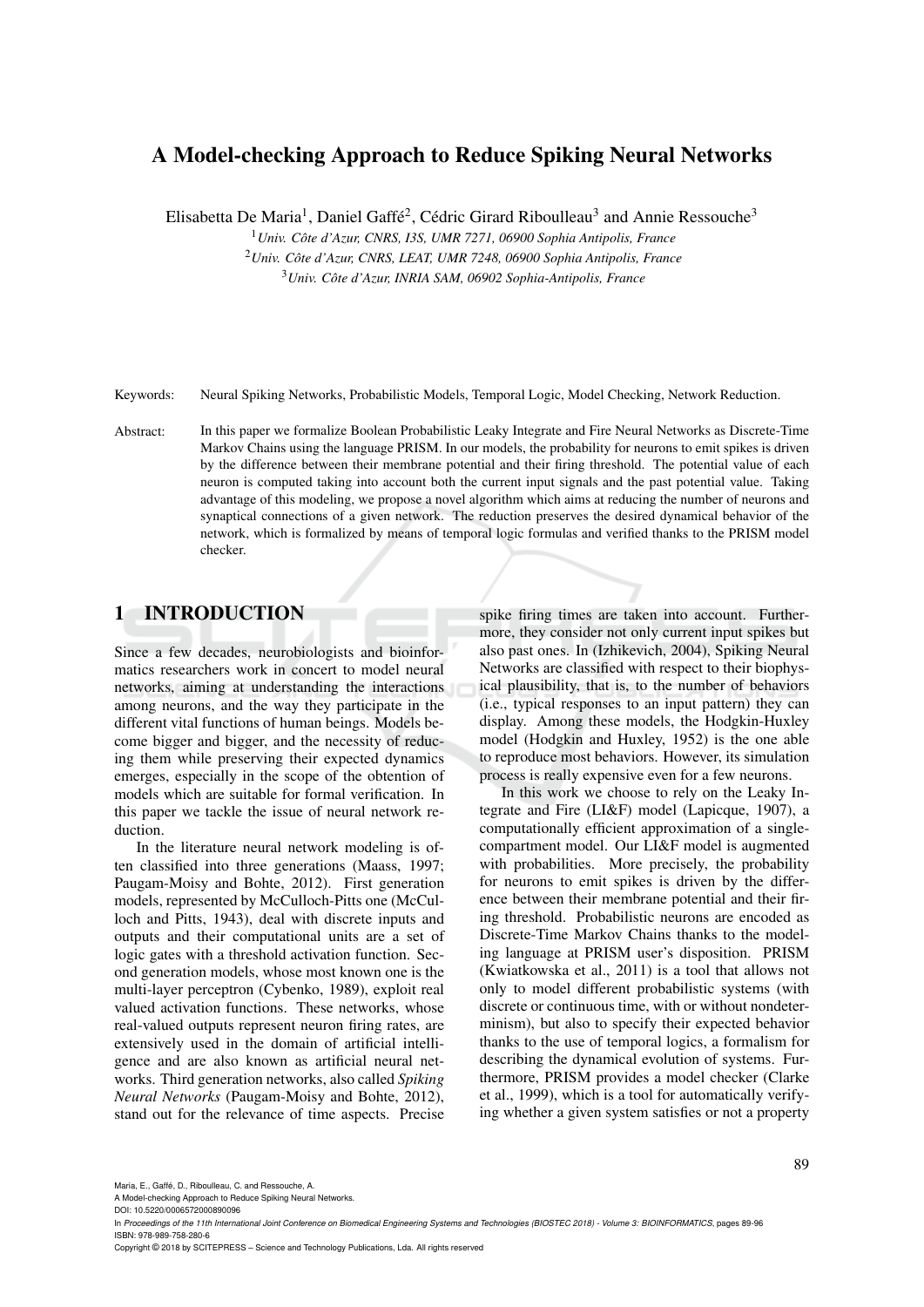# A Model-checking Approach to Reduce Spiking Neural Networks

Elisabetta De Maria<sup>1</sup>, Daniel Gaffé<sup>2</sup>, Cédric Girard Riboulleau<sup>3</sup> and Annie Ressouche<sup>3</sup>

<sup>1</sup>*Univ. Cote d'Azur, CNRS, I3S, UMR 7271, 06900 Sophia Antipolis, France ˆ*

<sup>2</sup>*Univ. Cote d'Azur, CNRS, LEAT, UMR 7248, 06900 Sophia Antipolis, France ˆ* <sup>3</sup>*Univ. Cote d'Azur, INRIA SAM, 06902 Sophia-Antipolis, France ˆ*

Keywords: Neural Spiking Networks, Probabilistic Models, Temporal Logic, Model Checking, Network Reduction.

Abstract: In this paper we formalize Boolean Probabilistic Leaky Integrate and Fire Neural Networks as Discrete-Time Markov Chains using the language PRISM. In our models, the probability for neurons to emit spikes is driven by the difference between their membrane potential and their firing threshold. The potential value of each neuron is computed taking into account both the current input signals and the past potential value. Taking advantage of this modeling, we propose a novel algorithm which aims at reducing the number of neurons and synaptical connections of a given network. The reduction preserves the desired dynamical behavior of the network, which is formalized by means of temporal logic formulas and verified thanks to the PRISM model checker.

### 1 INTRODUCTION

Since a few decades, neurobiologists and bioinformatics researchers work in concert to model neural networks, aiming at understanding the interactions among neurons, and the way they participate in the different vital functions of human beings. Models become bigger and bigger, and the necessity of reducing them while preserving their expected dynamics emerges, especially in the scope of the obtention of models which are suitable for formal verification. In this paper we tackle the issue of neural network reduction.

In the literature neural network modeling is often classified into three generations (Maass, 1997; Paugam-Moisy and Bohte, 2012). First generation models, represented by McCulloch-Pitts one (McCulloch and Pitts, 1943), deal with discrete inputs and outputs and their computational units are a set of logic gates with a threshold activation function. Second generation models, whose most known one is the multi-layer perceptron (Cybenko, 1989), exploit real valued activation functions. These networks, whose real-valued outputs represent neuron firing rates, are extensively used in the domain of artificial intelligence and are also known as artificial neural networks. Third generation networks, also called *Spiking Neural Networks* (Paugam-Moisy and Bohte, 2012), stand out for the relevance of time aspects. Precise spike firing times are taken into account. Furthermore, they consider not only current input spikes but also past ones. In (Izhikevich, 2004), Spiking Neural Networks are classified with respect to their biophysical plausibility, that is, to the number of behaviors (i.e., typical responses to an input pattern) they can display. Among these models, the Hodgkin-Huxley model (Hodgkin and Huxley, 1952) is the one able to reproduce most behaviors. However, its simulation process is really expensive even for a few neurons.

In this work we choose to rely on the Leaky Integrate and Fire (LI&F) model (Lapicque, 1907), a computationally efficient approximation of a singlecompartment model. Our LI&F model is augmented with probabilities. More precisely, the probability for neurons to emit spikes is driven by the difference between their membrane potential and their firing threshold. Probabilistic neurons are encoded as Discrete-Time Markov Chains thanks to the modeling language at PRISM user's disposition. PRISM (Kwiatkowska et al., 2011) is a tool that allows not only to model different probabilistic systems (with discrete or continuous time, with or without nondeterminism), but also to specify their expected behavior thanks to the use of temporal logics, a formalism for describing the dynamical evolution of systems. Furthermore, PRISM provides a model checker (Clarke et al., 1999), which is a tool for automatically verifying whether a given system satisfies or not a property

Maria, E., Gaffé, D., Riboulleau, C. and Ressouche, A.

A Model-checking Approach to Reduce Spiking Neural Networks. DOI: 10.5220/0006572000890096

Copyright © 2018 by SCITEPRESS – Science and Technology Publications, Lda. All rights reserved

In *Proceedings of the 11th International Joint Conference on Biomedical Engineering Systems and Technologies (BIOSTEC 2018) - Volume 3: BIOINFORMATICS*, pages 89-96 ISBN: 978-989-758-280-6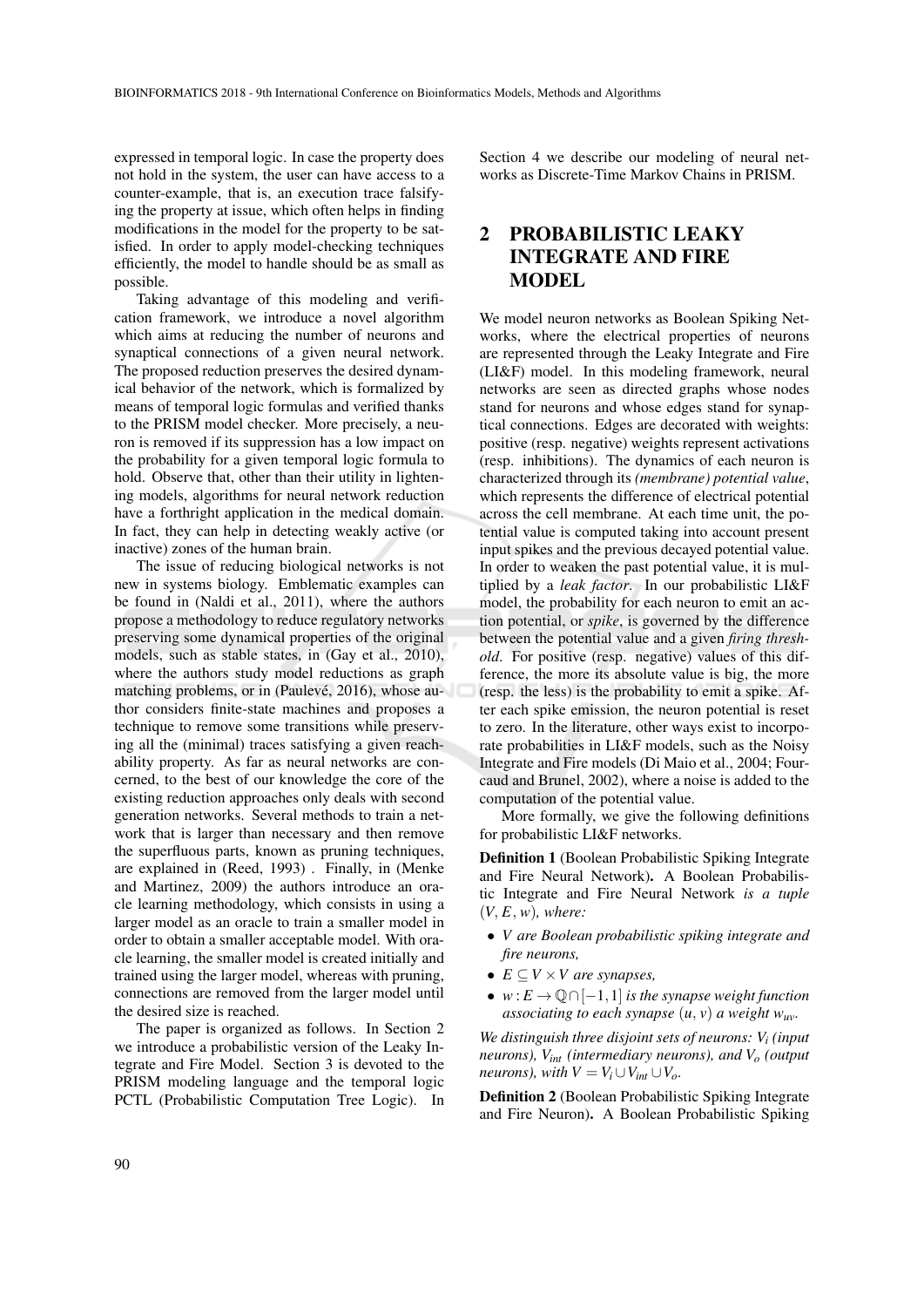expressed in temporal logic. In case the property does not hold in the system, the user can have access to a counter-example, that is, an execution trace falsifying the property at issue, which often helps in finding modifications in the model for the property to be satisfied. In order to apply model-checking techniques efficiently, the model to handle should be as small as possible.

Taking advantage of this modeling and verification framework, we introduce a novel algorithm which aims at reducing the number of neurons and synaptical connections of a given neural network. The proposed reduction preserves the desired dynamical behavior of the network, which is formalized by means of temporal logic formulas and verified thanks to the PRISM model checker. More precisely, a neuron is removed if its suppression has a low impact on the probability for a given temporal logic formula to hold. Observe that, other than their utility in lightening models, algorithms for neural network reduction have a forthright application in the medical domain. In fact, they can help in detecting weakly active (or inactive) zones of the human brain.

The issue of reducing biological networks is not new in systems biology. Emblematic examples can be found in (Naldi et al., 2011), where the authors propose a methodology to reduce regulatory networks preserving some dynamical properties of the original models, such as stable states, in (Gay et al., 2010), where the authors study model reductions as graph matching problems, or in (Paulevé, 2016), whose author considers finite-state machines and proposes a technique to remove some transitions while preserving all the (minimal) traces satisfying a given reachability property. As far as neural networks are concerned, to the best of our knowledge the core of the existing reduction approaches only deals with second generation networks. Several methods to train a network that is larger than necessary and then remove the superfluous parts, known as pruning techniques, are explained in (Reed, 1993) . Finally, in (Menke and Martinez, 2009) the authors introduce an oracle learning methodology, which consists in using a larger model as an oracle to train a smaller model in order to obtain a smaller acceptable model. With oracle learning, the smaller model is created initially and trained using the larger model, whereas with pruning, connections are removed from the larger model until the desired size is reached.

The paper is organized as follows. In Section 2 we introduce a probabilistic version of the Leaky Integrate and Fire Model. Section 3 is devoted to the PRISM modeling language and the temporal logic PCTL (Probabilistic Computation Tree Logic). In

Section 4 we describe our modeling of neural networks as Discrete-Time Markov Chains in PRISM.

# 2 PROBABILISTIC LEAKY INTEGRATE AND FIRE **MODEL**

We model neuron networks as Boolean Spiking Networks, where the electrical properties of neurons are represented through the Leaky Integrate and Fire (LI&F) model. In this modeling framework, neural networks are seen as directed graphs whose nodes stand for neurons and whose edges stand for synaptical connections. Edges are decorated with weights: positive (resp. negative) weights represent activations (resp. inhibitions). The dynamics of each neuron is characterized through its *(membrane) potential value*, which represents the difference of electrical potential across the cell membrane. At each time unit, the potential value is computed taking into account present input spikes and the previous decayed potential value. In order to weaken the past potential value, it is multiplied by a *leak factor*. In our probabilistic LI&F model, the probability for each neuron to emit an action potential, or *spike*, is governed by the difference between the potential value and a given *firing threshold*. For positive (resp. negative) values of this difference, the more its absolute value is big, the more (resp. the less) is the probability to emit a spike. After each spike emission, the neuron potential is reset to zero. In the literature, other ways exist to incorporate probabilities in LI&F models, such as the Noisy Integrate and Fire models (Di Maio et al., 2004; Fourcaud and Brunel, 2002), where a noise is added to the computation of the potential value.

More formally, we give the following definitions for probabilistic LI&F networks.

Definition 1 (Boolean Probabilistic Spiking Integrate and Fire Neural Network). A Boolean Probabilistic Integrate and Fire Neural Network *is a tuple*  $(V, E, w)$ *, where:* 

- *V are Boolean probabilistic spiking integrate and fire neurons,*
- $E \subseteq V \times V$  are synapses,
- $w: E \to \mathbb{Q} \cap [-1,1]$  *is the synapse weight function associating to each synapse*  $(u, v)$  *a weight w<sub><i>uv*</sub></sub>.

*We distinguish three disjoint sets of neurons: V<sup>i</sup> (input neurons), Vint (intermediary neurons), and V<sup>o</sup> (output neurons*), with  $V = V_i \cup V_{int} \cup V_o$ .

Definition 2 (Boolean Probabilistic Spiking Integrate and Fire Neuron). A Boolean Probabilistic Spiking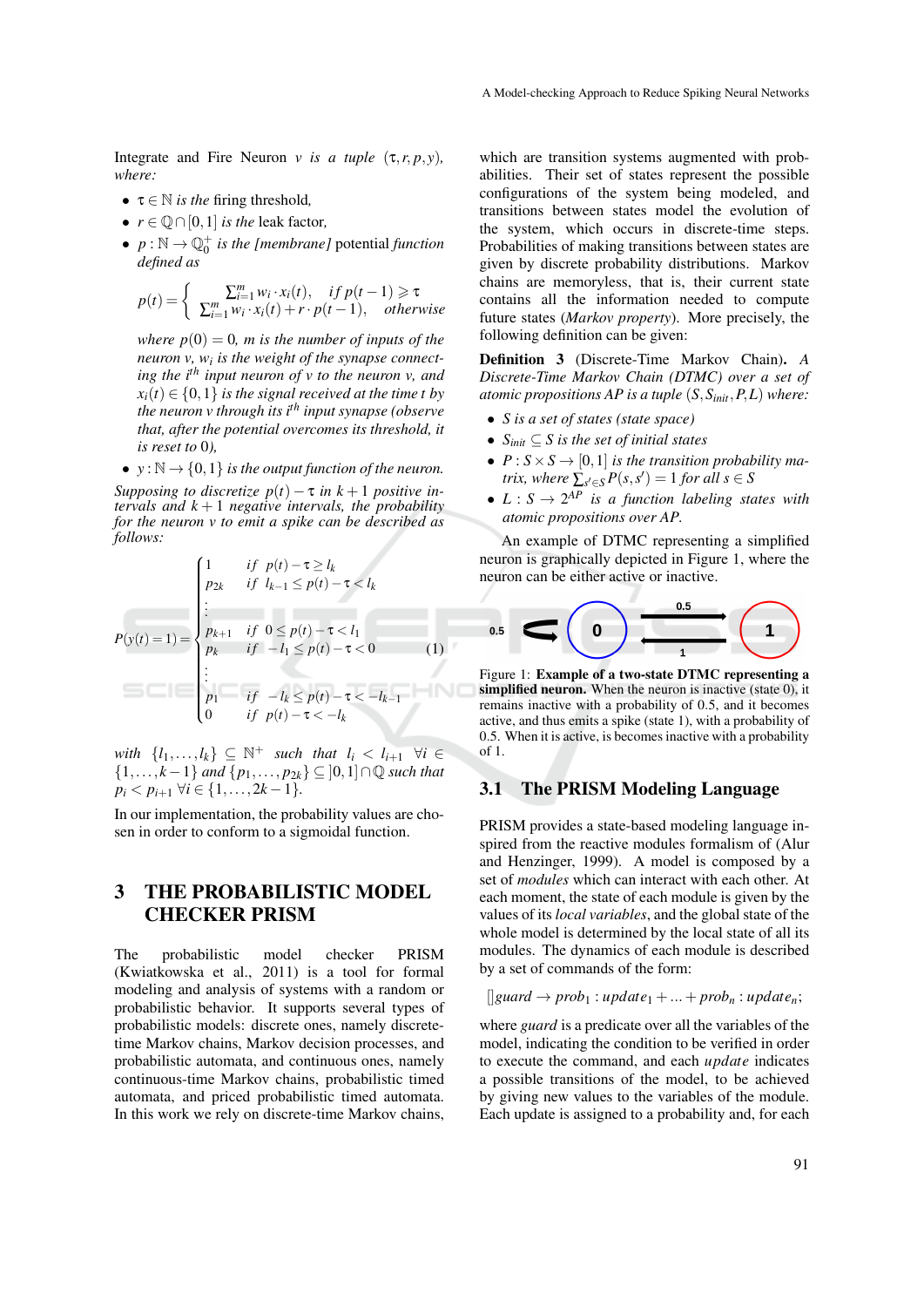Integrate and Fire Neuron *v* is a tuple  $(\tau, r, p, y)$ , *where:*

- $\tau \in \mathbb{N}$  *is the* firing threshold,
- $r \in \mathbb{Q} \cap [0,1]$  *is the leak factor,*
- $p : \mathbb{N} \to \mathbb{Q}_0^+$  *is the [membrane]* potential *function defined as*

$$
p(t) = \begin{cases} \sum_{i=1}^{m} w_i \cdot x_i(t), & if \ p(t-1) \geq \tau \\ \sum_{i=1}^{m} w_i \cdot x_i(t) + r \cdot p(t-1), & otherwise \end{cases}
$$

*where*  $p(0) = 0$ *, m is the number of inputs of the neuron v, w<sup>i</sup> is the weight of the synapse connecting the ith input neuron of v to the neuron v, and*  $x_i(t) \in \{0,1\}$  *is the signal received at the time t by the neuron v through its ith input synapse (observe that, after the potential overcomes its threshold, it is reset to* 0*),*

•  $y : \mathbb{N} \to \{0,1\}$  *is the output function of the neuron.* 

*Supposing to discretize*  $p(t) - \tau$  *in*  $k+1$  *positive intervals and*  $k + 1$  *negative intervals, the probability for the neuron v to emit a spike can be described as follows:*

$$
P(y(t) = 1) = \begin{cases} 1 & \text{if } p(t) - \tau \ge l_k \\ p_{2k} & \text{if } l_{k-1} \le p(t) - \tau < l_k \\ \vdots \\ p_{k+1} & \text{if } 0 \le p(t) - \tau < l_1 \\ p_k & \text{if } -l_1 \le p(t) - \tau < 0 \\ \vdots \\ p_1 & \text{if } -l_k \le p(t) - \tau < -l_{k-1} \\ 0 & \text{if } p(t) - \tau < -l_k \end{cases} \tag{1}
$$

*with*  $\{l_1, ..., l_k\} \subseteq \mathbb{N}^+$  *such that*  $l_i < l_{i+1} \ \forall i \in$ {1,..., *k*−1} *and* {*p*1,..., *p*2*k*} ⊆ ]0,1]∩Q *such that*  $p_i < p_{i+1}$   $\forall i \in \{1, \ldots, 2k-1\}.$ 

In our implementation, the probability values are chosen in order to conform to a sigmoidal function.

## 3 THE PROBABILISTIC MODEL CHECKER PRISM

The probabilistic model checker PRISM (Kwiatkowska et al., 2011) is a tool for formal modeling and analysis of systems with a random or probabilistic behavior. It supports several types of probabilistic models: discrete ones, namely discretetime Markov chains, Markov decision processes, and probabilistic automata, and continuous ones, namely continuous-time Markov chains, probabilistic timed automata, and priced probabilistic timed automata. In this work we rely on discrete-time Markov chains,

which are transition systems augmented with probabilities. Their set of states represent the possible configurations of the system being modeled, and transitions between states model the evolution of the system, which occurs in discrete-time steps. Probabilities of making transitions between states are given by discrete probability distributions. Markov chains are memoryless, that is, their current state contains all the information needed to compute future states (*Markov property*). More precisely, the following definition can be given:

Definition 3 (Discrete-Time Markov Chain). *A Discrete-Time Markov Chain (DTMC) over a set of atomic propositions AP is a tuple* (*S*,*Sinit*,*P*,*L*) *where:*

- *S is a set of states (state space)*
- *Sinit* ⊆ *S is the set of initial states*
- $P: S \times S \rightarrow [0,1]$  *is the transition probability matrix, where*  $\sum_{s' \in S} P(s, s') = 1$  *for all*  $s \in S$
- $L: S \rightarrow 2^{AP}$  *is a function labeling states with atomic propositions over AP.*

An example of DTMC representing a simplified neuron is graphically depicted in Figure 1, where the neuron can be either active or inactive.



Figure 1: Example of a two-state DTMC representing a simplified neuron. When the neuron is inactive (state 0), it remains inactive with a probability of 0.5, and it becomes active, and thus emits a spike (state 1), with a probability of 0.5. When it is active, is becomes inactive with a probability of 1.

#### 3.1 The PRISM Modeling Language

PRISM provides a state-based modeling language inspired from the reactive modules formalism of (Alur and Henzinger, 1999). A model is composed by a set of *modules* which can interact with each other. At each moment, the state of each module is given by the values of its *local variables*, and the global state of the whole model is determined by the local state of all its modules. The dynamics of each module is described by a set of commands of the form:

 $\left[\right]$ *guard*  $\rightarrow prob_1 : update_1 + ... + prob_n : update_n;$ 

where *guard* is a predicate over all the variables of the model, indicating the condition to be verified in order to execute the command, and each *update* indicates a possible transitions of the model, to be achieved by giving new values to the variables of the module. Each update is assigned to a probability and, for each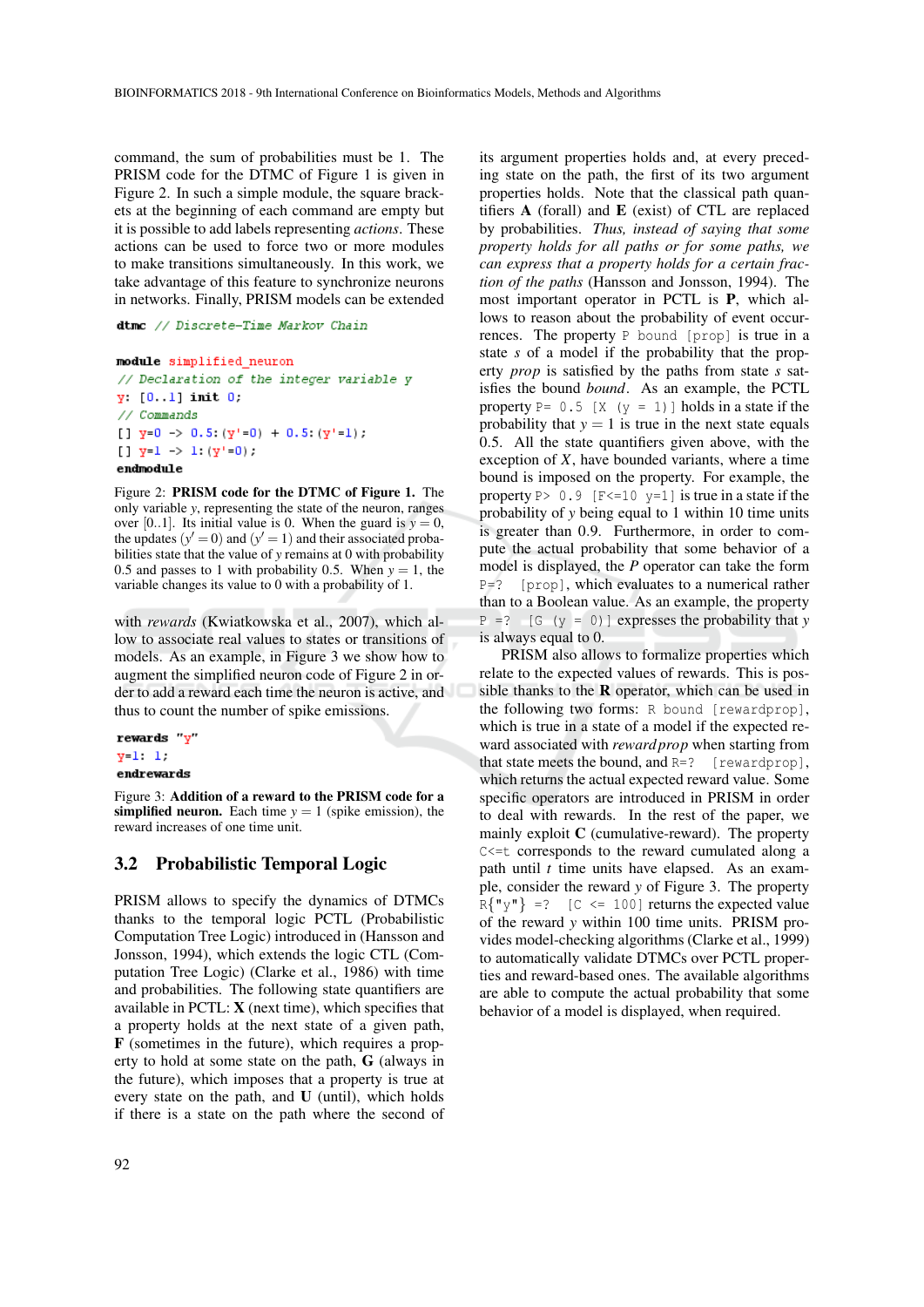command, the sum of probabilities must be 1. The PRISM code for the DTMC of Figure 1 is given in Figure 2. In such a simple module, the square brackets at the beginning of each command are empty but it is possible to add labels representing *actions*. These actions can be used to force two or more modules to make transitions simultaneously. In this work, we take advantage of this feature to synchronize neurons in networks. Finally, PRISM models can be extended

dtmc // Discrete-Time Markov Chain

```
module simplified neuron
// Declaration of the integer variable y
y: [0, 1] init 0.
// Commands
[] y=0 \rightarrow 0.5: (y'=0) + 0.5: (y'=1);
[] y=1 \rightarrow 1: (y'=0);
endmodule
```
Figure 2: PRISM code for the DTMC of Figure 1. The only variable *y*, representing the state of the neuron, ranges over [0..1]. Its initial value is 0. When the guard is  $y = 0$ , the updates  $(y' = 0)$  and  $(y' = 1)$  and their associated probabilities state that the value of *y* remains at 0 with probability 0.5 and passes to 1 with probability 0.5. When  $y = 1$ , the variable changes its value to 0 with a probability of 1.

with *rewards* (Kwiatkowska et al., 2007), which allow to associate real values to states or transitions of models. As an example, in Figure 3 we show how to augment the simplified neuron code of Figure 2 in order to add a reward each time the neuron is active, and thus to count the number of spike emissions.

```
rewards "y"
y = 1 - 1.
endrewards
```
Figure 3: Addition of a reward to the PRISM code for a simplified neuron. Each time  $y = 1$  (spike emission), the reward increases of one time unit.

#### 3.2 Probabilistic Temporal Logic

PRISM allows to specify the dynamics of DTMCs thanks to the temporal logic PCTL (Probabilistic Computation Tree Logic) introduced in (Hansson and Jonsson, 1994), which extends the logic CTL (Computation Tree Logic) (Clarke et al., 1986) with time and probabilities. The following state quantifiers are available in PCTL:  $X$  (next time), which specifies that a property holds at the next state of a given path, F (sometimes in the future), which requires a property to hold at some state on the path, G (always in the future), which imposes that a property is true at every state on the path, and U (until), which holds if there is a state on the path where the second of

its argument properties holds and, at every preceding state on the path, the first of its two argument properties holds. Note that the classical path quantifiers  $A$  (forall) and  $E$  (exist) of CTL are replaced by probabilities. *Thus, instead of saying that some property holds for all paths or for some paths, we can express that a property holds for a certain fraction of the paths* (Hansson and Jonsson, 1994). The most important operator in PCTL is P, which allows to reason about the probability of event occurrences. The property P bound [prop] is true in a state *s* of a model if the probability that the property *prop* is satisfied by the paths from state *s* satisfies the bound *bound*. As an example, the PCTL property  $P = 0.5$  [X (y = 1)] holds in a state if the probability that  $y = 1$  is true in the next state equals 0.5. All the state quantifiers given above, with the exception of *X*, have bounded variants, where a time bound is imposed on the property. For example, the property  $P > 0.9$  [F $\le 10$  y=1] is true in a state if the probability of *y* being equal to 1 within 10 time units is greater than 0.9. Furthermore, in order to compute the actual probability that some behavior of a model is displayed, the *P* operator can take the form  $P=?$  [prop], which evaluates to a numerical rather than to a Boolean value. As an example, the property  $P = ?$  [G ( $y = 0$ )] expresses the probability that *y* is always equal to 0.

PRISM also allows to formalize properties which relate to the expected values of rewards. This is possible thanks to the  **operator, which can be used in** the following two forms: R bound [rewardprop], which is true in a state of a model if the expected reward associated with *reward prop* when starting from that state meets the bound, and  $R=?$  [rewardprop], which returns the actual expected reward value. Some specific operators are introduced in PRISM in order to deal with rewards. In the rest of the paper, we mainly exploit  $C$  (cumulative-reward). The property C<=t corresponds to the reward cumulated along a path until *t* time units have elapsed. As an example, consider the reward *y* of Figure 3. The property  $R{^m y^m} = ?$  [C <= 100] returns the expected value of the reward *y* within 100 time units. PRISM provides model-checking algorithms (Clarke et al., 1999) to automatically validate DTMCs over PCTL properties and reward-based ones. The available algorithms are able to compute the actual probability that some behavior of a model is displayed, when required.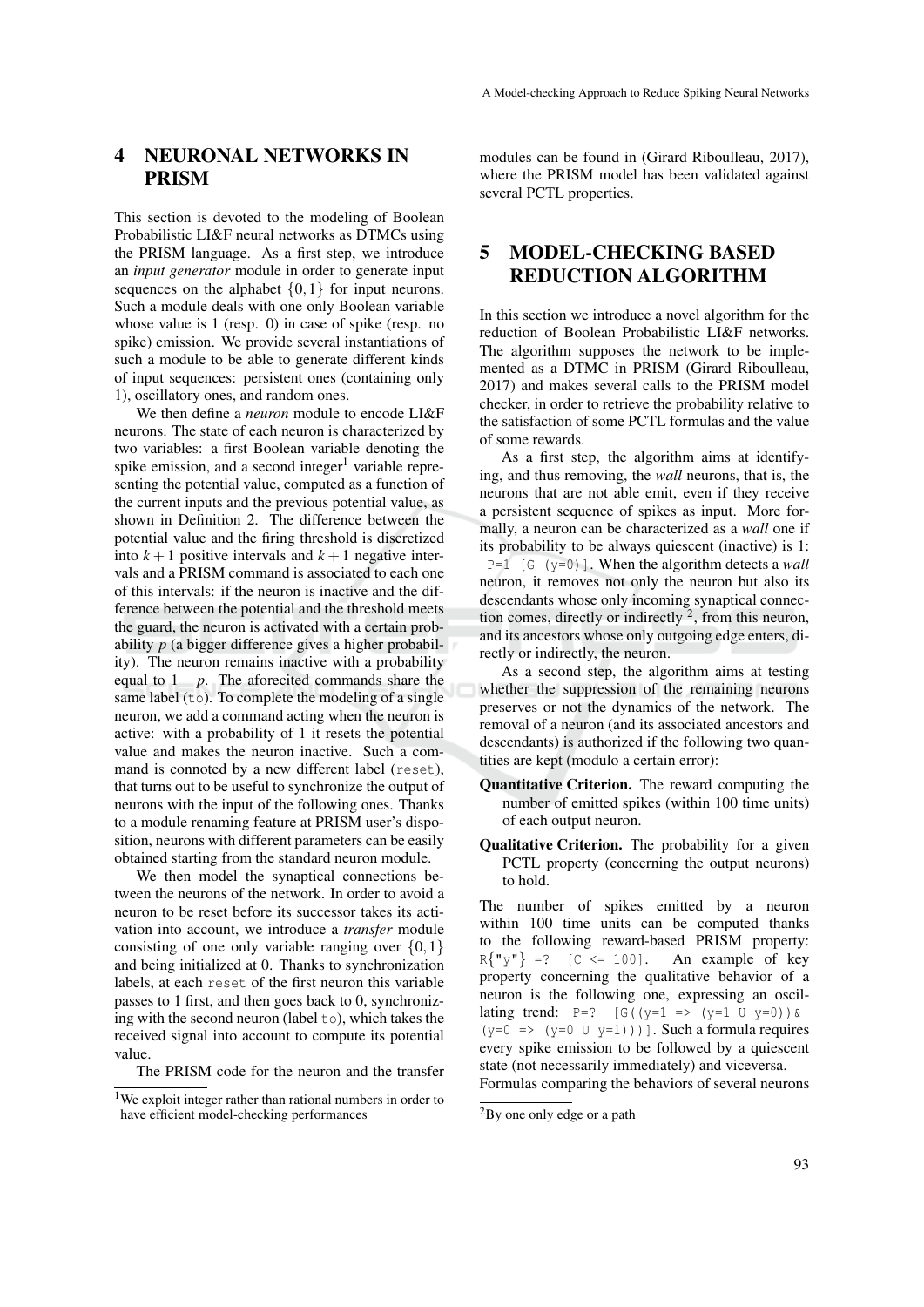### 4 NEURONAL NETWORKS IN PRISM

This section is devoted to the modeling of Boolean Probabilistic LI&F neural networks as DTMCs using the PRISM language. As a first step, we introduce an *input generator* module in order to generate input sequences on the alphabet  $\{0,1\}$  for input neurons. Such a module deals with one only Boolean variable whose value is 1 (resp. 0) in case of spike (resp. no spike) emission. We provide several instantiations of such a module to be able to generate different kinds of input sequences: persistent ones (containing only 1), oscillatory ones, and random ones.

We then define a *neuron* module to encode LI&F neurons. The state of each neuron is characterized by two variables: a first Boolean variable denoting the spike emission, and a second integer<sup>1</sup> variable representing the potential value, computed as a function of the current inputs and the previous potential value, as shown in Definition 2. The difference between the potential value and the firing threshold is discretized into  $k+1$  positive intervals and  $k+1$  negative intervals and a PRISM command is associated to each one of this intervals: if the neuron is inactive and the difference between the potential and the threshold meets the guard, the neuron is activated with a certain probability *p* (a bigger difference gives a higher probability). The neuron remains inactive with a probability equal to  $1 - p$ . The aforecited commands share the same label (to). To complete the modeling of a single neuron, we add a command acting when the neuron is active: with a probability of 1 it resets the potential value and makes the neuron inactive. Such a command is connoted by a new different label (reset), that turns out to be useful to synchronize the output of neurons with the input of the following ones. Thanks to a module renaming feature at PRISM user's disposition, neurons with different parameters can be easily obtained starting from the standard neuron module.

We then model the synaptical connections between the neurons of the network. In order to avoid a neuron to be reset before its successor takes its activation into account, we introduce a *transfer* module consisting of one only variable ranging over  $\{0,1\}$ and being initialized at 0. Thanks to synchronization labels, at each reset of the first neuron this variable passes to 1 first, and then goes back to 0, synchronizing with the second neuron (label  $\pm \circ$ ), which takes the received signal into account to compute its potential value.

The PRISM code for the neuron and the transfer

modules can be found in (Girard Riboulleau, 2017), where the PRISM model has been validated against several PCTL properties.

# 5 MODEL-CHECKING BASED REDUCTION ALGORITHM

In this section we introduce a novel algorithm for the reduction of Boolean Probabilistic LI&F networks. The algorithm supposes the network to be implemented as a DTMC in PRISM (Girard Riboulleau, 2017) and makes several calls to the PRISM model checker, in order to retrieve the probability relative to the satisfaction of some PCTL formulas and the value of some rewards.

As a first step, the algorithm aims at identifying, and thus removing, the *wall* neurons, that is, the neurons that are not able emit, even if they receive a persistent sequence of spikes as input. More formally, a neuron can be characterized as a *wall* one if its probability to be always quiescent (inactive) is 1:  $P=1$  [G (y=0)]. When the algorithm detects a *wall* neuron, it removes not only the neuron but also its descendants whose only incoming synaptical connection comes, directly or indirectly  $2$ , from this neuron, and its ancestors whose only outgoing edge enters, directly or indirectly, the neuron.

As a second step, the algorithm aims at testing whether the suppression of the remaining neurons preserves or not the dynamics of the network. The removal of a neuron (and its associated ancestors and descendants) is authorized if the following two quantities are kept (modulo a certain error):

- Quantitative Criterion. The reward computing the number of emitted spikes (within 100 time units) of each output neuron.
- Qualitative Criterion. The probability for a given PCTL property (concerning the output neurons) to hold.

The number of spikes emitted by a neuron within 100 time units can be computed thanks to the following reward-based PRISM property:<br> $R{\Psi_{\nu}} = ?$  [C <= 100]. An example of key  $R{''y" } = ?$  [C <= 100]. property concerning the qualitative behavior of a neuron is the following one, expressing an oscillating trend:  $P=?$  [G((y=1 => (y=1 U y=0)) &  $(y=0 \Rightarrow (y=0 \cup y=1))$ ]. Such a formula requires every spike emission to be followed by a quiescent state (not necessarily immediately) and viceversa. Formulas comparing the behaviors of several neurons

<sup>1</sup>We exploit integer rather than rational numbers in order to have efficient model-checking performances

<sup>2</sup>By one only edge or a path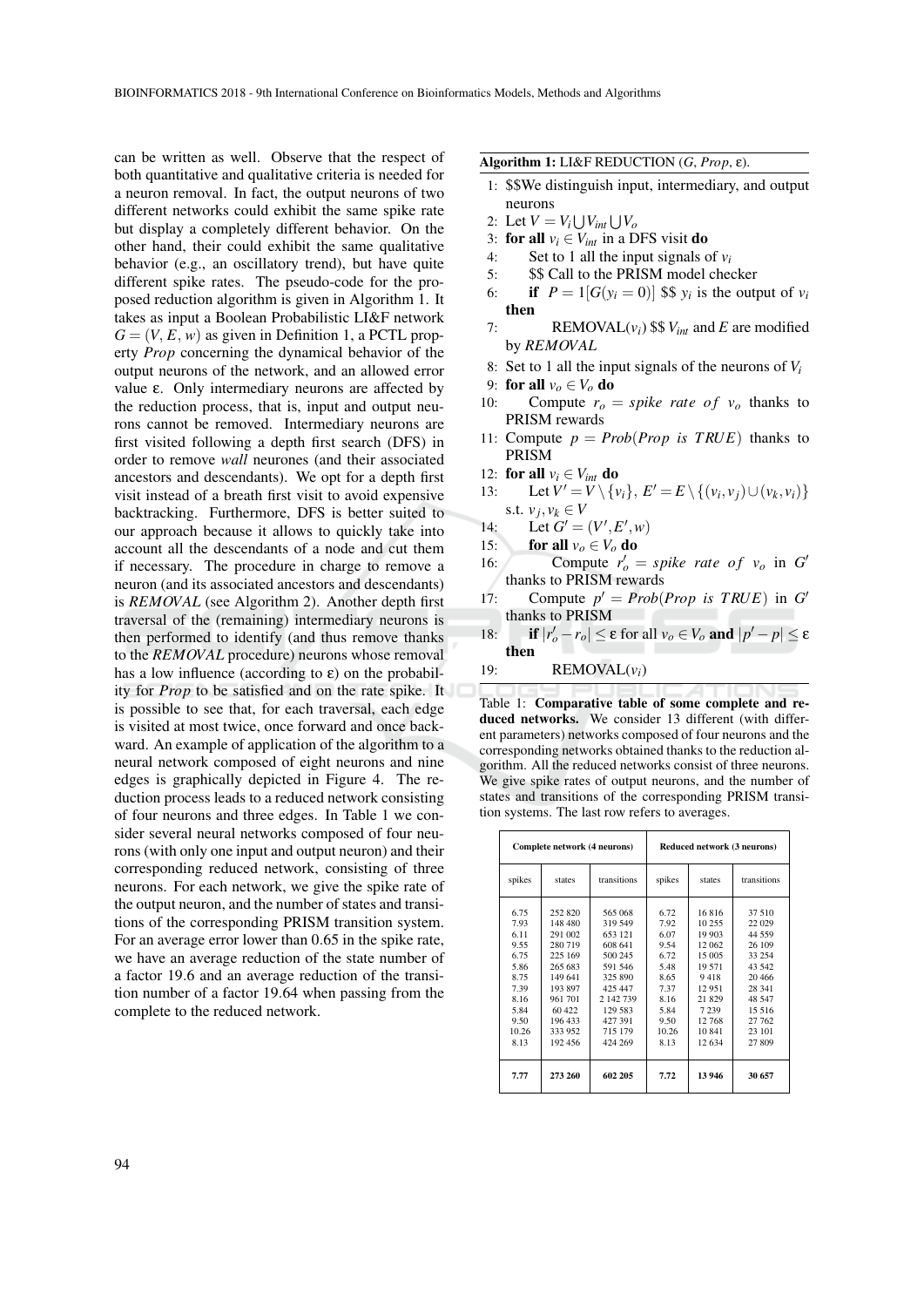can be written as well. Observe that the respect of both quantitative and qualitative criteria is needed for a neuron removal. In fact, the output neurons of two different networks could exhibit the same spike rate but display a completely different behavior. On the other hand, their could exhibit the same qualitative behavior (e.g., an oscillatory trend), but have quite different spike rates. The pseudo-code for the proposed reduction algorithm is given in Algorithm 1. It takes as input a Boolean Probabilistic LI&F network  $G = (V, E, w)$  as given in Definition 1, a PCTL property *Prop* concerning the dynamical behavior of the output neurons of the network, and an allowed error value ε. Only intermediary neurons are affected by the reduction process, that is, input and output neurons cannot be removed. Intermediary neurons are first visited following a depth first search (DFS) in order to remove *wall* neurones (and their associated ancestors and descendants). We opt for a depth first visit instead of a breath first visit to avoid expensive backtracking. Furthermore, DFS is better suited to our approach because it allows to quickly take into account all the descendants of a node and cut them if necessary. The procedure in charge to remove a neuron (and its associated ancestors and descendants) is *REMOVAL* (see Algorithm 2). Another depth first traversal of the (remaining) intermediary neurons is then performed to identify (and thus remove thanks to the *REMOVAL* procedure) neurons whose removal has a low influence (according to  $\varepsilon$ ) on the probability for *Prop* to be satisfied and on the rate spike. It is possible to see that, for each traversal, each edge is visited at most twice, once forward and once backward. An example of application of the algorithm to a neural network composed of eight neurons and nine edges is graphically depicted in Figure 4. The reduction process leads to a reduced network consisting of four neurons and three edges. In Table 1 we consider several neural networks composed of four neurons (with only one input and output neuron) and their corresponding reduced network, consisting of three neurons. For each network, we give the spike rate of the output neuron, and the number of states and transitions of the corresponding PRISM transition system. For an average error lower than 0.65 in the spike rate, we have an average reduction of the state number of a factor 19.6 and an average reduction of the transition number of a factor 19.64 when passing from the complete to the reduced network.

#### Algorithm 1: LI&F REDUCTION (*G*, *Prop*, ε).

- 1: \$\$We distinguish input, intermediary, and output neurons
- 2: Let  $V = V_i \bigcup V_{int} \bigcup V_o$
- 3: **for all**  $v_i \in V_{int}$  in a DFS visit **do**<br>4: Set to 1 all the input signals of
- Set to 1 all the input signals of  $v_i$
- 5: \$\$ Call to the PRISM model checker
- 6: if  $P = 1[G(y_i = 0)]$  \$\$  $y_i$  is the output of  $v_i$ then
- 7: REMOVAL $(v_i)$  \$\$  $V_{int}$  and *E* are modified by *REMOVAL*
- 8: Set to 1 all the input signals of the neurons of *V<sup>i</sup>*
- 9: **for all**  $v_o \in V_o$  **do**<br>10: **Compute**  $r_o =$
- Compute  $r_o = spike \ rate \ of \ v_o$  thanks to PRISM rewards
- 11: Compute  $p = Prob(Prop \text{ is } TRUE)$  thanks to PRISM
- 12: **for all**  $v_i \in V_{int}$  **do**<br>13: Let  $V' = V \setminus \{v\}$
- 13: Let  $V' = V \setminus \{v_i\}, E' = E \setminus \{(v_i, v_j) \cup (v_k, v_i)\}$ s.t.  $v_j, v_k \in V$
- 14: Let  $G' = (V', E', w)$
- 15: **for all**  $v_o \in V_o$  **do**<br>16: **Compute**  $r' =$
- 16: Compute  $r'_o = spike \ rate \ of \ v_o \ in \ G'$ thanks to PRISM rewards
- 17: Compute  $p' = Prob(Prop \text{ is } TRUE)$  in *G* thanks to PRISM
- 18: **if**  $|r'_o r_o| \le \varepsilon$  for all  $v_o \in V_o$  and  $|p' p| \le \varepsilon$ then
- 19: REMOVAL(*vi*)

Table 1: Comparative table of some complete and reduced networks. We consider 13 different (with different parameters) networks composed of four neurons and the corresponding networks obtained thanks to the reduction algorithm. All the reduced networks consist of three neurons. We give spike rates of output neurons, and the number of states and transitions of the corresponding PRISM transition systems. The last row refers to averages.

| Complete network (4 neurons)                                                                          |                                                                                                                                            |                                                                                                                                               | Reduced network (3 neurons)                                                                           |                                                                                                                          |                                                                                                                                    |
|-------------------------------------------------------------------------------------------------------|--------------------------------------------------------------------------------------------------------------------------------------------|-----------------------------------------------------------------------------------------------------------------------------------------------|-------------------------------------------------------------------------------------------------------|--------------------------------------------------------------------------------------------------------------------------|------------------------------------------------------------------------------------------------------------------------------------|
| spikes                                                                                                | states                                                                                                                                     | transitions                                                                                                                                   | spikes                                                                                                | states                                                                                                                   | transitions                                                                                                                        |
| 6.75<br>7.93<br>6.11<br>9.55<br>6.75<br>5.86<br>8.75<br>7.39<br>8.16<br>5.84<br>9.50<br>10.26<br>8.13 | 252 820<br>148 480<br>291 002<br>280 719<br>225 169<br>265 683<br>149 641<br>193 897<br>961 701<br>60 422<br>196 433<br>333 952<br>192 456 | 565 068<br>319 549<br>653 121<br>608 641<br>500 245<br>591 546<br>325 890<br>425 447<br>2 142 739<br>129 583<br>427 391<br>715 179<br>424 269 | 6.72<br>7.92<br>6.07<br>9.54<br>6.72<br>5.48<br>8.65<br>7.37<br>8.16<br>5.84<br>9.50<br>10.26<br>8.13 | 16816<br>10 255<br>19 903<br>12 062<br>15 005<br>19 571<br>9418<br>12951<br>21829<br>7 2 3 9<br>12768<br>10841<br>12 634 | 37 510<br>22 0 29<br>44 559<br>26 109<br>33 254<br>43 542<br>20 4 6 6<br>28 341<br>48 547<br>15 5 16<br>27 762<br>23 101<br>27 809 |
| 7.77                                                                                                  | 273 260                                                                                                                                    | 602 205                                                                                                                                       | 7.72                                                                                                  | 13 946                                                                                                                   | 30 657                                                                                                                             |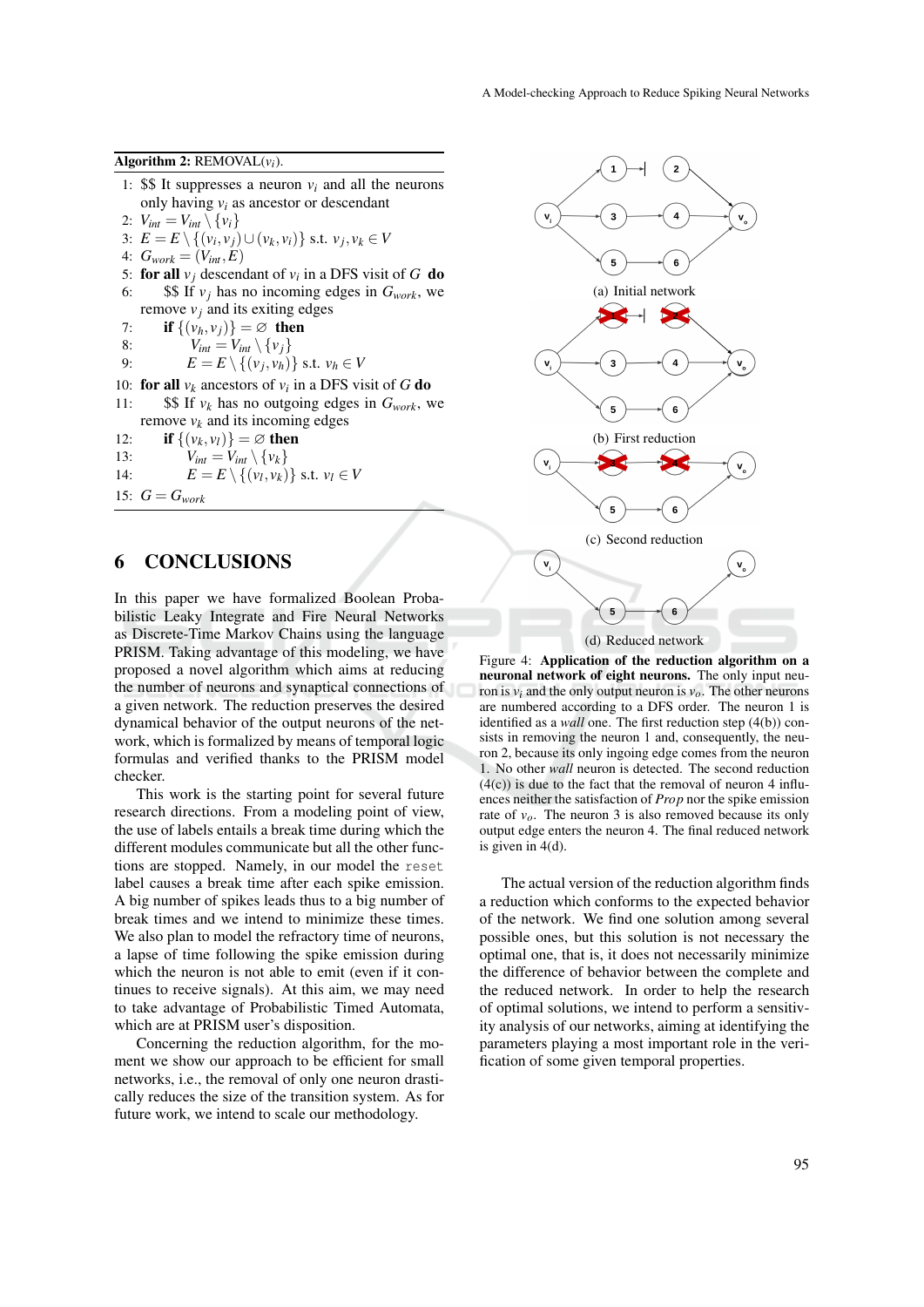Algorithm 2: REMOVAL(*vi*).

- 1: \$\$ It suppresses a neuron  $v_i$  and all the neurons only having *v<sup>i</sup>* as ancestor or descendant
- 2:  $V_{int} = V_{int} \setminus \{v_i\}$
- 3:  $E = E \setminus \{(v_i, v_j) \cup (v_k, v_i)\}$  s.t.  $v_j, v_k \in V$
- 4:  $G_{work} = (V_{int}, E)$
- 5: **for all**  $v_j$  descendant of  $v_i$  in a DFS visit of G **do**
- 6:  $\$\$  If  $v_j$  has no incoming edges in  $G_{work}$ , we remove  $v_i$  and its exiting edges

7: **if**  $\{(v_h, v_j)\}\neq \emptyset$  then<br>8:  $V_{int} = V_{int} \setminus \{v_i\}$ 

- 8:  $V_{int} = V_{int} \setminus \{v_j\}$
- 9:  $E = E \setminus \{(v_j, v_h)\}$  s.t.  $v_h \in V$

10: **for all**  $v_k$  ancestors of  $v_i$  in a DFS visit of G do

- 11:  $$If v_k$  has no outgoing edges in  $G_{work}$ , we remove  $v_k$  and its incoming edges
- 12: **if**  $\{(v_k, v_l)\} = \emptyset$  then<br>  $V_{l_k} = V_{l_k} \setminus \{v_l\}$
- 13:  $V_{int} = V_{int} \setminus \{v_k\}$
- 14:  $E = E \setminus \{(v_l, v_k)\} \text{ s.t. } v_l \in V$
- 15:  $G = G_{work}$

#### 6 CONCLUSIONS

In this paper we have formalized Boolean Probabilistic Leaky Integrate and Fire Neural Networks as Discrete-Time Markov Chains using the language PRISM. Taking advantage of this modeling, we have proposed a novel algorithm which aims at reducing the number of neurons and synaptical connections of a given network. The reduction preserves the desired dynamical behavior of the output neurons of the network, which is formalized by means of temporal logic formulas and verified thanks to the PRISM model checker.

This work is the starting point for several future research directions. From a modeling point of view, the use of labels entails a break time during which the different modules communicate but all the other functions are stopped. Namely, in our model the reset label causes a break time after each spike emission. A big number of spikes leads thus to a big number of break times and we intend to minimize these times. We also plan to model the refractory time of neurons, a lapse of time following the spike emission during which the neuron is not able to emit (even if it continues to receive signals). At this aim, we may need to take advantage of Probabilistic Timed Automata, which are at PRISM user's disposition.

Concerning the reduction algorithm, for the moment we show our approach to be efficient for small networks, i.e., the removal of only one neuron drastically reduces the size of the transition system. As for future work, we intend to scale our methodology.



Figure 4: Application of the reduction algorithm on a neuronal network of eight neurons. The only input neuron is  $v_i$  and the only output neuron is  $v_o$ . The other neurons are numbered according to a DFS order. The neuron 1 is identified as a *wall* one. The first reduction step (4(b)) consists in removing the neuron 1 and, consequently, the neuron 2, because its only ingoing edge comes from the neuron 1. No other *wall* neuron is detected. The second reduction  $(4(c))$  is due to the fact that the removal of neuron 4 influences neither the satisfaction of *Prop* nor the spike emission rate of  $v<sub>o</sub>$ . The neuron 3 is also removed because its only output edge enters the neuron 4. The final reduced network is given in 4(d).

The actual version of the reduction algorithm finds a reduction which conforms to the expected behavior of the network. We find one solution among several possible ones, but this solution is not necessary the optimal one, that is, it does not necessarily minimize the difference of behavior between the complete and the reduced network. In order to help the research of optimal solutions, we intend to perform a sensitivity analysis of our networks, aiming at identifying the parameters playing a most important role in the verification of some given temporal properties.